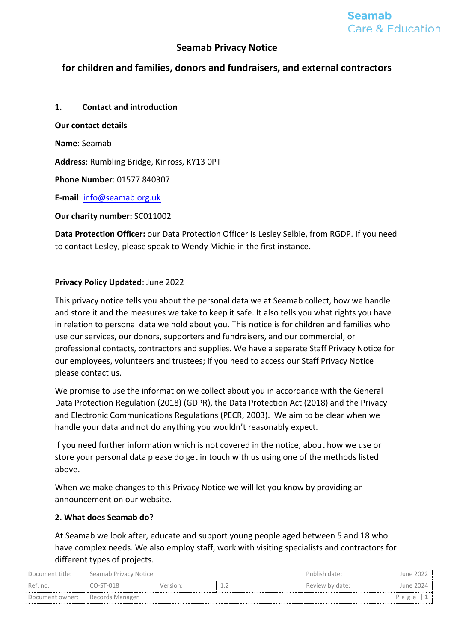# **Seamab Privacy Notice**

# **for children and families, donors and fundraisers, and external contractors**

**1. Contact and introduction Our contact details Name**: Seamab **Address**: Rumbling Bridge, Kinross, KY13 0PT **Phone Number**: 01577 840307

**E-mail**: [info@seamab.org.uk](mailto:info@seamab.org.uk)

**Our charity number:** SC011002

**Data Protection Officer:** our Data Protection Officer is Lesley Selbie, from RGDP. If you need to contact Lesley, please speak to Wendy Michie in the first instance.

### **Privacy Policy Updated**: June 2022

This privacy notice tells you about the personal data we at Seamab collect, how we handle and store it and the measures we take to keep it safe. It also tells you what rights you have in relation to personal data we hold about you. This notice is for children and families who use our services, our donors, supporters and fundraisers, and our commercial, or professional contacts, contractors and supplies. We have a separate Staff Privacy Notice for our employees, volunteers and trustees; if you need to access our Staff Privacy Notice please contact us.

We promise to use the information we collect about you in accordance with the General Data Protection Regulation (2018) (GDPR), the Data Protection Act (2018) and the Privacy and Electronic Communications Regulations (PECR, 2003). We aim to be clear when we handle your data and not do anything you wouldn't reasonably expect.

If you need further information which is not covered in the notice, about how we use or store your personal data please do get in touch with us using one of the methods listed above.

When we make changes to this Privacy Notice we will let you know by providing an announcement on our website.

### **2. What does Seamab do?**

At Seamab we look after, educate and support young people aged between 5 and 18 who have complex needs. We also employ staff, work with visiting specialists and contractors for different types of projects.

| Document title:                 | Seamab Privacy Notice |          |  | Publish date:   | June 2022 |
|---------------------------------|-----------------------|----------|--|-----------------|-----------|
| Ref. no.                        | CO-ST-018             | Version: |  | Review by date: | June 2024 |
| Document owner: Records Manager |                       |          |  |                 | Page      |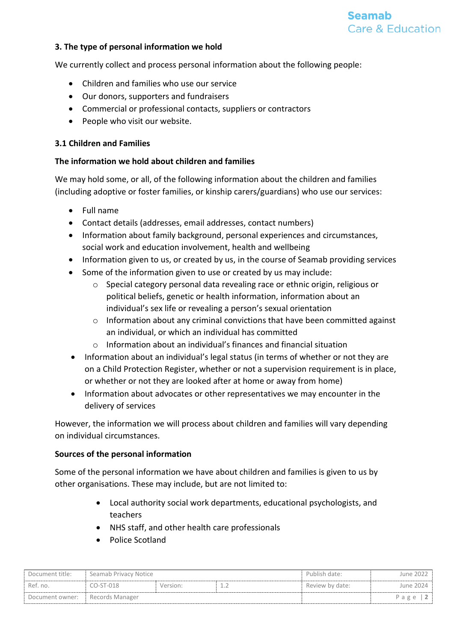### **3. The type of personal information we hold**

We currently collect and process personal information about the following people:

- Children and families who use our service
- Our donors, supporters and fundraisers
- Commercial or professional contacts, suppliers or contractors
- People who visit our website.

### **3.1 Children and Families**

#### **The information we hold about children and families**

We may hold some, or all, of the following information about the children and families (including adoptive or foster families, or kinship carers/guardians) who use our services:

- Full name
- Contact details (addresses, email addresses, contact numbers)
- Information about family background, personal experiences and circumstances, social work and education involvement, health and wellbeing
- Information given to us, or created by us, in the course of Seamab providing services
- Some of the information given to use or created by us may include:
	- o Special category personal data revealing race or ethnic origin, religious or political beliefs, genetic or health information, information about an individual's sex life or revealing a person's sexual orientation
	- o Information about any criminal convictions that have been committed against an individual, or which an individual has committed
	- o Information about an individual's finances and financial situation
- Information about an individual's legal status (in terms of whether or not they are on a Child Protection Register, whether or not a supervision requirement is in place, or whether or not they are looked after at home or away from home)
- Information about advocates or other representatives we may encounter in the delivery of services

However, the information we will process about children and families will vary depending on individual circumstances.

### **Sources of the personal information**

Some of the personal information we have about children and families is given to us by other organisations. These may include, but are not limited to:

- Local authority social work departments, educational psychologists, and teachers
- NHS staff, and other health care professionals
- Police Scotland

| Document title:                 | Seamab Privacy Notice |          |  | Publish date:   | June 2022 |
|---------------------------------|-----------------------|----------|--|-----------------|-----------|
| Ref. no.                        | $CO-ST-018$           | Version: |  | Review by date: | June 2024 |
| Document owner: Records Manager |                       |          |  |                 | Page      |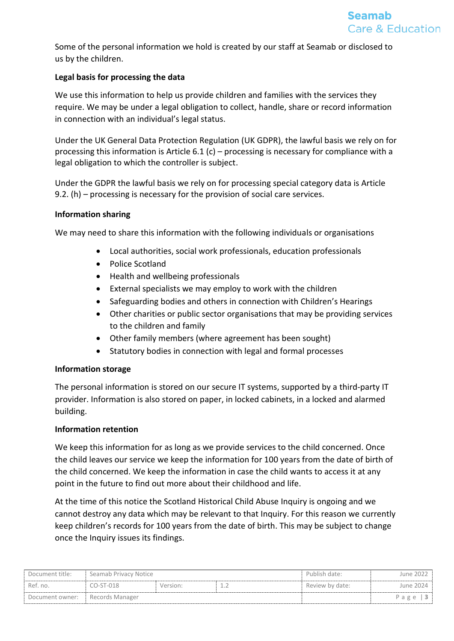Some of the personal information we hold is created by our staff at Seamab or disclosed to us by the children.

## **Legal basis for processing the data**

We use this information to help us provide children and families with the services they require. We may be under a legal obligation to collect, handle, share or record information in connection with an individual's legal status.

Under the UK General Data Protection Regulation (UK GDPR), the lawful basis we rely on for processing this information is Article 6.1 (c) – processing is necessary for compliance with a legal obligation to which the controller is subject.

Under the GDPR the lawful basis we rely on for processing special category data is Article 9.2. (h) – processing is necessary for the provision of social care services.

### **Information sharing**

We may need to share this information with the following individuals or organisations

- Local authorities, social work professionals, education professionals
- Police Scotland
- Health and wellbeing professionals
- External specialists we may employ to work with the children
- Safeguarding bodies and others in connection with Children's Hearings
- Other charities or public sector organisations that may be providing services to the children and family
- Other family members (where agreement has been sought)
- Statutory bodies in connection with legal and formal processes

### **Information storage**

The personal information is stored on our secure IT systems, supported by a third-party IT provider. Information is also stored on paper, in locked cabinets, in a locked and alarmed building.

### **Information retention**

We keep this information for as long as we provide services to the child concerned. Once the child leaves our service we keep the information for 100 years from the date of birth of the child concerned. We keep the information in case the child wants to access it at any point in the future to find out more about their childhood and life.

At the time of this notice the Scotland Historical Child Abuse Inquiry is ongoing and we cannot destroy any data which may be relevant to that Inquiry. For this reason we currently keep children's records for 100 years from the date of birth. This may be subject to change once the Inquiry issues its findings.

| Document title: | Seamab Privacy Notice |          |     | Publish date:   | June 2022  |
|-----------------|-----------------------|----------|-----|-----------------|------------|
| Ref. no.        | $CO-ST-018$           | Version: | --- | Review by date: | June 2024  |
| Document owner: | Records Manager       |          |     |                 | Page $ 3 $ |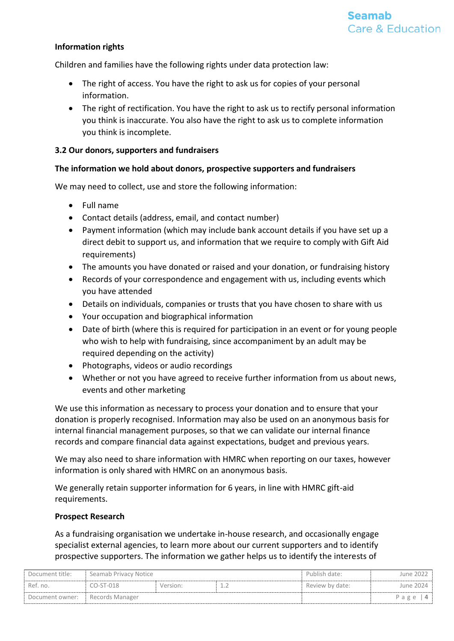### **Information rights**

Children and families have the following rights under data protection law:

- The right of access. You have the right to ask us for copies of your personal information.
- The right of rectification. You have the right to ask us to rectify personal information you think is inaccurate. You also have the right to ask us to complete information you think is incomplete.

### **3.2 Our donors, supporters and fundraisers**

### **The information we hold about donors, prospective supporters and fundraisers**

We may need to collect, use and store the following information:

- Full name
- Contact details (address, email, and contact number)
- Payment information (which may include bank account details if you have set up a direct debit to support us, and information that we require to comply with Gift Aid requirements)
- The amounts you have donated or raised and your donation, or fundraising history
- Records of your correspondence and engagement with us, including events which you have attended
- Details on individuals, companies or trusts that you have chosen to share with us
- Your occupation and biographical information
- Date of birth (where this is required for participation in an event or for young people who wish to help with fundraising, since accompaniment by an adult may be required depending on the activity)
- Photographs, videos or audio recordings
- Whether or not you have agreed to receive further information from us about news, events and other marketing

We use this information as necessary to process your donation and to ensure that your donation is properly recognised. Information may also be used on an anonymous basis for internal financial management purposes, so that we can validate our internal finance records and compare financial data against expectations, budget and previous years.

We may also need to share information with HMRC when reporting on our taxes, however information is only shared with HMRC on an anonymous basis.

We generally retain supporter information for 6 years, in line with HMRC gift-aid requirements.

### **Prospect Research**

As a fundraising organisation we undertake in-house research, and occasionally engage specialist external agencies, to learn more about our current supporters and to identify prospective supporters. The information we gather helps us to identify the interests of

| Document title:                   | Seamab Privacy Notice |          |              | Publish date:   | June 2022   |
|-----------------------------------|-----------------------|----------|--------------|-----------------|-------------|
| Ref. no.                          | CO-ST-018             | Version: | . <u>. .</u> | Review by date: | lune 2024 - |
| Document owner: E Records Manager |                       |          |              |                 | Page        |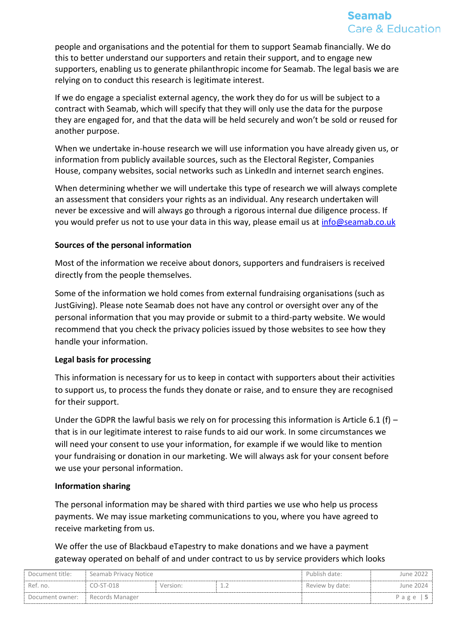people and organisations and the potential for them to support Seamab financially. We do this to better understand our supporters and retain their support, and to engage new supporters, enabling us to generate philanthropic income for Seamab. The legal basis we are relying on to conduct this research is legitimate interest.

If we do engage a specialist external agency, the work they do for us will be subject to a contract with Seamab, which will specify that they will only use the data for the purpose they are engaged for, and that the data will be held securely and won't be sold or reused for another purpose.

When we undertake in-house research we will use information you have already given us, or information from publicly available sources, such as the Electoral Register, Companies House, company websites, social networks such as LinkedIn and internet search engines.

When determining whether we will undertake this type of research we will always complete an assessment that considers your rights as an individual. Any research undertaken will never be excessive and will always go through a rigorous internal due diligence process. If you would prefer us not to use your data in this way, please email us at [info@seamab.co.uk](mailto:info@seamab.co.uk)

### **Sources of the personal information**

Most of the information we receive about donors, supporters and fundraisers is received directly from the people themselves.

Some of the information we hold comes from external fundraising organisations (such as JustGiving). Please note Seamab does not have any control or oversight over any of the personal information that you may provide or submit to a third-party website. We would recommend that you check the privacy policies issued by those websites to see how they handle your information.

### **Legal basis for processing**

This information is necessary for us to keep in contact with supporters about their activities to support us, to process the funds they donate or raise, and to ensure they are recognised for their support.

Under the GDPR the lawful basis we rely on for processing this information is Article 6.1 (f) – that is in our legitimate interest to raise funds to aid our work. In some circumstances we will need your consent to use your information, for example if we would like to mention your fundraising or donation in our marketing. We will always ask for your consent before we use your personal information.

### **Information sharing**

The personal information may be shared with third parties we use who help us process payments. We may issue marketing communications to you, where you have agreed to receive marketing from us.

# We offer the use of Blackbaud eTapestry to make donations and we have a payment gateway operated on behalf of and under contract to us by service providers which looks

| Document title: | Seamab Privacy Notice |          |  | Publish date:   | June 2022 |
|-----------------|-----------------------|----------|--|-----------------|-----------|
| Ref. no.        | $CO-ST-018$           | Version: |  | Review by date: | June 2024 |
| Document owner: | Records Manager       |          |  |                 | Page      |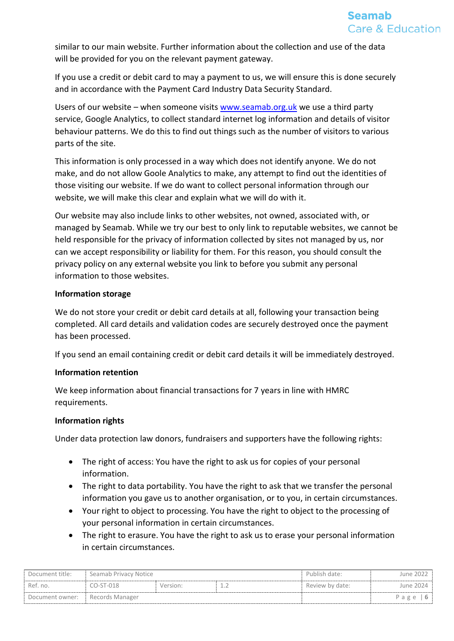similar to our main website. Further information about the collection and use of the data will be provided for you on the relevant payment gateway.

If you use a credit or debit card to may a payment to us, we will ensure this is done securely and in accordance with the Payment Card Industry Data Security Standard.

Users of our website – when someone visit[s www.seamab.org.uk](http://www.seamab.org.uk/) we use a third party service, Google Analytics, to collect standard internet log information and details of visitor behaviour patterns. We do this to find out things such as the number of visitors to various parts of the site.

This information is only processed in a way which does not identify anyone. We do not make, and do not allow Goole Analytics to make, any attempt to find out the identities of those visiting our website. If we do want to collect personal information through our website, we will make this clear and explain what we will do with it.

Our website may also include links to other websites, not owned, associated with, or managed by Seamab. While we try our best to only link to reputable websites, we cannot be held responsible for the privacy of information collected by sites not managed by us, nor can we accept responsibility or liability for them. For this reason, you should consult the privacy policy on any external website you link to before you submit any personal information to those websites.

### **Information storage**

We do not store your credit or debit card details at all, following your transaction being completed. All card details and validation codes are securely destroyed once the payment has been processed.

If you send an email containing credit or debit card details it will be immediately destroyed.

### **Information retention**

We keep information about financial transactions for 7 years in line with HMRC requirements.

### **Information rights**

Under data protection law donors, fundraisers and supporters have the following rights:

- The right of access: You have the right to ask us for copies of your personal information.
- The right to data portability. You have the right to ask that we transfer the personal information you gave us to another organisation, or to you, in certain circumstances.
- Your right to object to processing. You have the right to object to the processing of your personal information in certain circumstances.
- The right to erasure. You have the right to ask us to erase your personal information in certain circumstances.

| Document title: | Seamab Privacy Notice |          |  | Publish date:   | June 2022 |
|-----------------|-----------------------|----------|--|-----------------|-----------|
| Ref. no.        | CO-ST-018             | Version: |  | Review by date: | June 2024 |
| Document owner: | Records Manager       |          |  |                 | Page $ 6$ |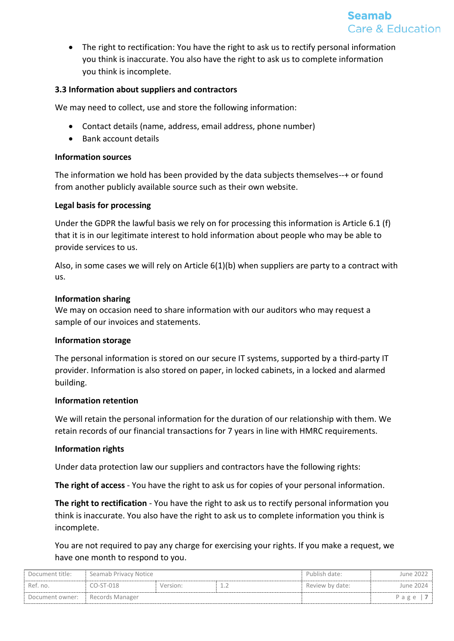

• The right to rectification: You have the right to ask us to rectify personal information you think is inaccurate. You also have the right to ask us to complete information you think is incomplete.

### **3.3 Information about suppliers and contractors**

We may need to collect, use and store the following information:

- Contact details (name, address, email address, phone number)
- Bank account details

#### **Information sources**

The information we hold has been provided by the data subjects themselves--+ or found from another publicly available source such as their own website.

### **Legal basis for processing**

Under the GDPR the lawful basis we rely on for processing this information is Article 6.1 (f) that it is in our legitimate interest to hold information about people who may be able to provide services to us.

Also, in some cases we will rely on Article 6(1)(b) when suppliers are party to a contract with us.

### **Information sharing**

We may on occasion need to share information with our auditors who may request a sample of our invoices and statements.

### **Information storage**

The personal information is stored on our secure IT systems, supported by a third-party IT provider. Information is also stored on paper, in locked cabinets, in a locked and alarmed building.

#### **Information retention**

We will retain the personal information for the duration of our relationship with them. We retain records of our financial transactions for 7 years in line with HMRC requirements.

### **Information rights**

Under data protection law our suppliers and contractors have the following rights:

**The right of access** - You have the right to ask us for copies of your personal information.

**The right to rectification** - You have the right to ask us to rectify personal information you think is inaccurate. You also have the right to ask us to complete information you think is incomplete.

You are not required to pay any charge for exercising your rights. If you make a request, we have one month to respond to you.

| Document title: | Seamab Privacy Notice |          |    | Publish date:   | June 2022 |
|-----------------|-----------------------|----------|----|-----------------|-----------|
| Ref. no.        | $CO-ST-018$           | Version: | -- | Review by date: | June 2024 |
| Document owner: | Records Manager       |          |    |                 | Page      |